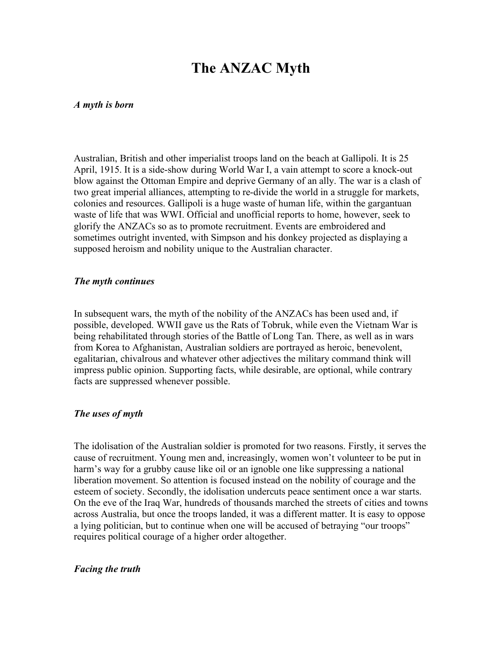# **The ANZAC Myth**

#### *A myth is born*

Australian, British and other imperialist troops land on the beach at Gallipoli. It is 25 April, 1915. It is a side-show during World War I, a vain attempt to score a knock-out blow against the Ottoman Empire and deprive Germany of an ally. The war is a clash of two great imperial alliances, attempting to re-divide the world in a struggle for markets, colonies and resources. Gallipoli is a huge waste of human life, within the gargantuan waste of life that was WWI. Official and unofficial reports to home, however, seek to glorify the ANZACs so as to promote recruitment. Events are embroidered and sometimes outright invented, with Simpson and his donkey projected as displaying a supposed heroism and nobility unique to the Australian character.

#### *The myth continues*

In subsequent wars, the myth of the nobility of the ANZACs has been used and, if possible, developed. WWII gave us the Rats of Tobruk, while even the Vietnam War is being rehabilitated through stories of the Battle of Long Tan. There, as well as in wars from Korea to Afghanistan, Australian soldiers are portrayed as heroic, benevolent, egalitarian, chivalrous and whatever other adjectives the military command think will impress public opinion. Supporting facts, while desirable, are optional, while contrary facts are suppressed whenever possible.

#### *The uses of myth*

The idolisation of the Australian soldier is promoted for two reasons. Firstly, it serves the cause of recruitment. Young men and, increasingly, women won't volunteer to be put in harm's way for a grubby cause like oil or an ignoble one like suppressing a national liberation movement. So attention is focused instead on the nobility of courage and the esteem of society. Secondly, the idolisation undercuts peace sentiment once a war starts. On the eve of the Iraq War, hundreds of thousands marched the streets of cities and towns across Australia, but once the troops landed, it was a different matter. It is easy to oppose a lying politician, but to continue when one will be accused of betraying "our troops" requires political courage of a higher order altogether.

#### *Facing the truth*